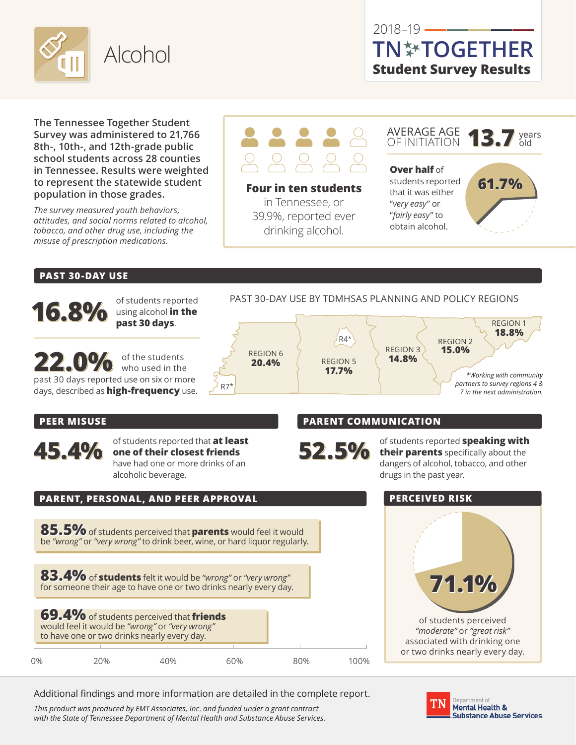

## $2018 - 19$   $-$ **Student Survey Results TN TOGETHER**

**The Tennessee Together Student Survey was administered to 21,766 8th-, 10th-, and 12th-grade public school students across 28 counties in Tennessee. Results were weighted to represent the statewide student population in those grades.** 

*The survey measured youth behaviors, attitudes, and social norms related to alcohol, tobacco, and other drug use, including the misuse of prescription medications.*



**Four in ten students** in Tennessee, or 39.9%, reported ever drinking alcohol.

AVERAGE AGE OF INITIATION **13.7** years **13.7** years

**Over half** of students reported that it was either "*very easy*" or "*fairly easy*" to obtain alcohol.



#### **PAST 30-DAY USE**

**16.8%** of students reported using alcohol **in the past 30 days**. 22.0% of the students past 30 days reported use on six or more days, described as **high-frequency** use**.** PAST 30-DAY USE BY TDMHSAS PLANNING AND POLICY REGIONS REGION 1 **18.8% REGION 2**<br>**15.0% REGION 3 14.8%** R4\* REGION 5 **17.7%** REGION 6 **20.4%** R7\* *\*Working with community partners to survey regions 4 & 7 in the next administration.* **PEER MISUSE 45.4%** of students reported that **at least one of their closest friends** have had one or more drinks of an alcoholic beverage. **PARENT COMMUNICATION 52.5%** of students reported **speaking with**<br> **their parents** specifically about the<br>
denoming of algorithm in the specifical tensors and other drugs in the past year.

### **PARENT, PERSONAL, AND PEER APPROVAL**

**85.5%**of students perceived that **parents** would feel it would be *"wrong"* or *"very wrong"* to drink beer, wine, or hard liquor regularly.

**83.4%** of **students** felt it would be *"wrong"* or *"very wrong"* for someone their age to have one or two drinks nearly every day.

|    | 69.4% of students perceived that friends<br>would feel it would be "wrong" or "very wrong"<br>to have one or two drinks nearly every day. |     |     |     |      |
|----|-------------------------------------------------------------------------------------------------------------------------------------------|-----|-----|-----|------|
|    |                                                                                                                                           |     |     |     |      |
| 0% | 20%                                                                                                                                       | 40% | 60% | 80% | 100% |

Additional findings and more information are detailed in the complete report.

*This product was produced by EMT Associates, Inc. and funded under a grant contract with the State of Tennessee Department of Mental Health and Substance Abuse Services.* dangers of alcohol, tobacco, and other

#### **PERCEIVED RISK**



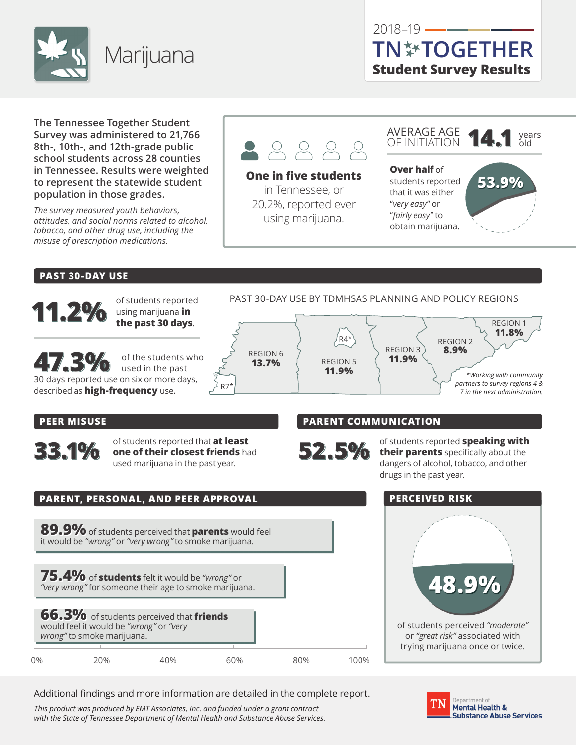

**The Tennessee Together Student Survey was administered to 21,766 8th-, 10th-, and 12th-grade public school students across 28 counties in Tennessee. Results were weighted to represent the statewide student population in those grades.** 

*The survey measured youth behaviors, attitudes, and social norms related to alcohol, tobacco, and other drug use, including the misuse of prescription medications.*



#### **One in five students**

in Tennessee, or 20.2%, reported ever using marijuana.



**Over half** of students reported that it was either "*very easy*" or "*fairly easy*" to obtain marijuana.



#### **PAST 30-DAY USE**



using marijuana **in the past 30 days**.

**47.3%** of the students who used in the past 30 days reported use on six or more days, described as **high-frequency** use**.**

PAST 30-DAY USE BY TDMHSAS PLANNING AND POLICY REGIONS



#### **PEER MISUSE**

**33.1%** of students reported that **at least** one of their closest friends had used marijuana in the past year.

#### **PARENT COMMUNICATION**



**52.5%** of students reported **speaking with**<br> **their parents** specifically about the<br>
denoming of algorithm in the specifical tensors and other dangers of alcohol, tobacco, and other drugs in the past year.

# **PARENT, PERSONAL, AND PEER APPROVAL 89.9%**of students perceived that **parents** would feel it would be *"wrong"* or *"very wrong"* to smoke marijuana. **75.4%** of **students** felt it would be *"wrong"* or

**66.3%** would feel it **w** *wrong"* to smo *"very wrong"* for someone their age to smoke marijuana.

| of students perceived that <b>friends</b><br>ould be "wrong" or "very<br>ke marijuana. |  |
|----------------------------------------------------------------------------------------|--|
|                                                                                        |  |

**48.9%** of students perceived *"moderate"*

or *"great risk"* associated with trying marijuana once or twice.

Additional findings and more information are detailed in the complete report.

0% 20% 40% 60% 80% 100%

*This product was produced by EMT Associates, Inc. and funded under a grant contract with the State of Tennessee Department of Mental Health and Substance Abuse Services.*



#### **PERCEIVED RISK**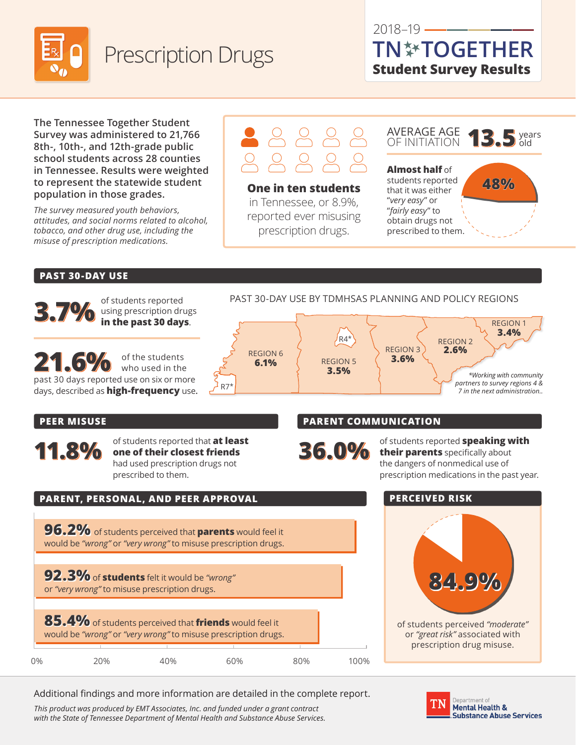

## 2018–19 **Student Survey Results TN TOGETHER**

**The Tennessee Together Student Survey was administered to 21,766 8th-, 10th-, and 12th-grade public school students across 28 counties in Tennessee. Results were weighted to represent the statewide student population in those grades.** 

*The survey measured youth behaviors, attitudes, and social norms related to alcohol, tobacco, and other drug use, including the misuse of prescription medications.*

# $38888$

**One in ten students** in Tennessee, or 8.9%, reported ever misusing prescription drugs.

AVERAGE AGE **13.5** years  $\overline{5}$  years **Almost half** of students reported that it was either "*very easy*" or "*fairly easy*" to **48%**

obtain drugs not prescribed to them.

#### **PAST 30-DAY USE**



using prescription drugs **in the past 30 days**.

21.6% of the students who used in the past 30 days reported use on six or more days, described as **high-frequency** use**.**

PAST 30-DAY USE BY TDMHSAS PLANNING AND POLICY REGIONS



#### **PEER MISUSE**

**11.8%** of students reported that **at least one of their closest friends** had used prescription drugs not prescribed to them.

#### **PARENT COMMUNICATION**

**36.0%** of students reported **speaking with their parents** specifically about the dangers of nonmedical use of prescription medications in the past year.

# **PARENT, PERSONAL, AND PEER APPROVAL 96.2%** of students perceived that **parents** would feel it

would be *"wrong"* or *"very wrong"* to misuse prescription drugs.

**92.3%**of **students** felt it would be *"wrong"* or *"very wrong"* to misuse prescription drugs.

|    | 85.4% of students perceived that friends would feel it<br>would be "wrong" or "very wrong" to misuse prescription drugs. |     |     |     |      |
|----|--------------------------------------------------------------------------------------------------------------------------|-----|-----|-----|------|
|    |                                                                                                                          |     |     |     |      |
| 0% | 20%                                                                                                                      | 4በ% | 60% | 80% | 1በበ% |

Additional findings and more information are detailed in the complete report.

*This product was produced by EMT Associates, Inc. and funded under a grant contract with the State of Tennessee Department of Mental Health and Substance Abuse Services.*